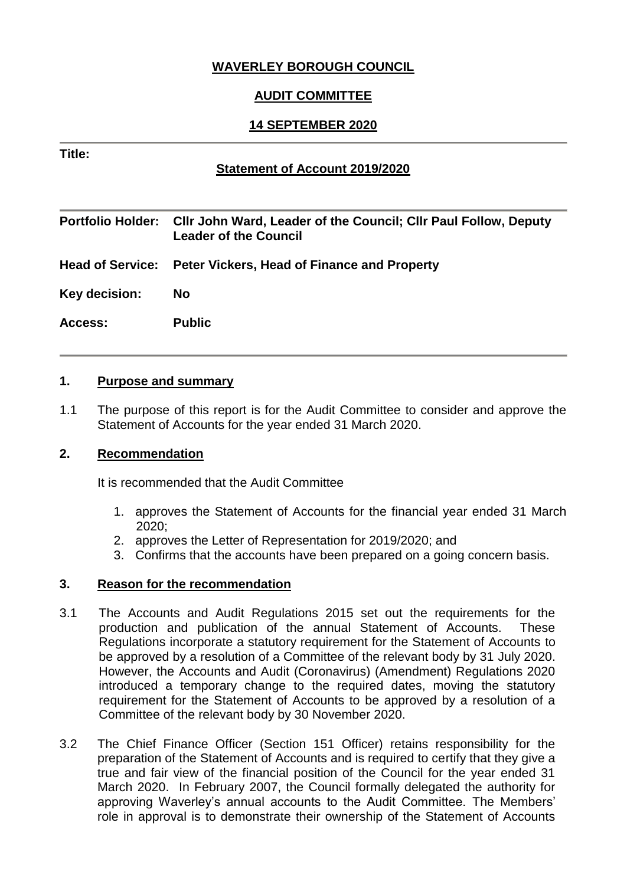# **WAVERLEY BOROUGH COUNCIL**

# **AUDIT COMMITTEE**

# **14 SEPTEMBER 2020**

#### **Title:**

## **Statement of Account 2019/2020**

|                | Portfolio Holder: Cllr John Ward, Leader of the Council; Cllr Paul Follow, Deputy<br><b>Leader of the Council</b> |
|----------------|-------------------------------------------------------------------------------------------------------------------|
|                | Head of Service: Peter Vickers, Head of Finance and Property                                                      |
| Key decision:  | <b>No</b>                                                                                                         |
| <b>Access:</b> | <b>Public</b>                                                                                                     |

#### **1. Purpose and summary**

1.1 The purpose of this report is for the Audit Committee to consider and approve the Statement of Accounts for the year ended 31 March 2020.

#### **2. Recommendation**

It is recommended that the Audit Committee

- 1. approves the Statement of Accounts for the financial year ended 31 March 2020;
- 2. approves the Letter of Representation for 2019/2020; and
- 3. Confirms that the accounts have been prepared on a going concern basis.

## **3. Reason for the recommendation**

- 3.1 The Accounts and Audit Regulations 2015 set out the requirements for the production and publication of the annual Statement of Accounts. These Regulations incorporate a statutory requirement for the Statement of Accounts to be approved by a resolution of a Committee of the relevant body by 31 July 2020. However, the Accounts and Audit (Coronavirus) (Amendment) Regulations 2020 introduced a temporary change to the required dates, moving the statutory requirement for the Statement of Accounts to be approved by a resolution of a Committee of the relevant body by 30 November 2020.
- 3.2 The Chief Finance Officer (Section 151 Officer) retains responsibility for the preparation of the Statement of Accounts and is required to certify that they give a true and fair view of the financial position of the Council for the year ended 31 March 2020. In February 2007, the Council formally delegated the authority for approving Waverley's annual accounts to the Audit Committee. The Members' role in approval is to demonstrate their ownership of the Statement of Accounts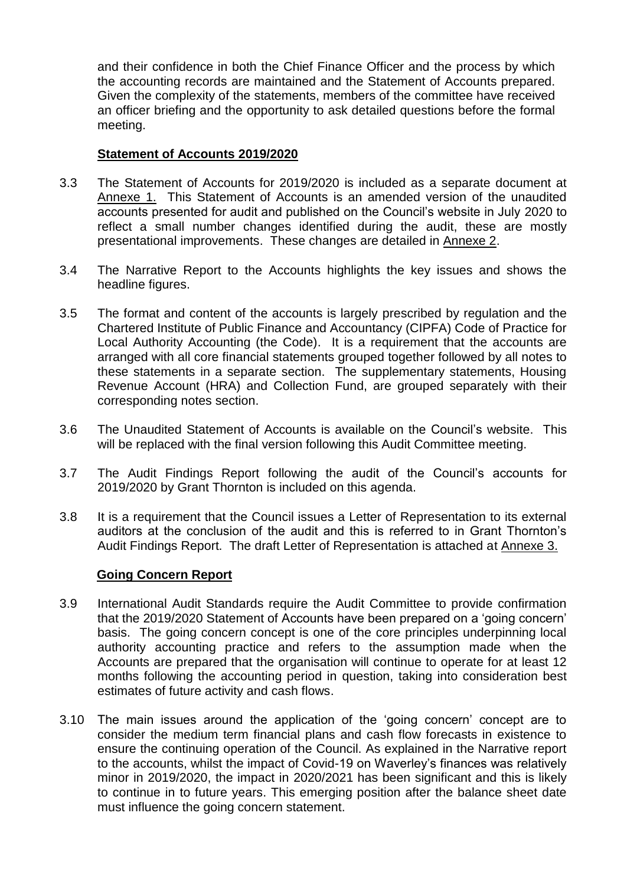and their confidence in both the Chief Finance Officer and the process by which the accounting records are maintained and the Statement of Accounts prepared. Given the complexity of the statements, members of the committee have received an officer briefing and the opportunity to ask detailed questions before the formal meeting.

#### **Statement of Accounts 2019/2020**

- 3.3 The Statement of Accounts for 2019/2020 is included as a separate document at Annexe 1. This Statement of Accounts is an amended version of the unaudited accounts presented for audit and published on the Council's website in July 2020 to reflect a small number changes identified during the audit, these are mostly presentational improvements. These changes are detailed in Annexe 2.
- 3.4 The Narrative Report to the Accounts highlights the key issues and shows the headline figures.
- 3.5 The format and content of the accounts is largely prescribed by regulation and the Chartered Institute of Public Finance and Accountancy (CIPFA) Code of Practice for Local Authority Accounting (the Code). It is a requirement that the accounts are arranged with all core financial statements grouped together followed by all notes to these statements in a separate section. The supplementary statements, Housing Revenue Account (HRA) and Collection Fund, are grouped separately with their corresponding notes section.
- 3.6 The Unaudited Statement of Accounts is available on the Council's website. This will be replaced with the final version following this Audit Committee meeting.
- 3.7 The Audit Findings Report following the audit of the Council's accounts for 2019/2020 by Grant Thornton is included on this agenda.
- 3.8 It is a requirement that the Council issues a Letter of Representation to its external auditors at the conclusion of the audit and this is referred to in Grant Thornton's Audit Findings Report. The draft Letter of Representation is attached at Annexe 3.

## **Going Concern Report**

- 3.9 International Audit Standards require the Audit Committee to provide confirmation that the 2019/2020 Statement of Accounts have been prepared on a 'going concern' basis. The going concern concept is one of the core principles underpinning local authority accounting practice and refers to the assumption made when the Accounts are prepared that the organisation will continue to operate for at least 12 months following the accounting period in question, taking into consideration best estimates of future activity and cash flows.
- 3.10 The main issues around the application of the 'going concern' concept are to consider the medium term financial plans and cash flow forecasts in existence to ensure the continuing operation of the Council. As explained in the Narrative report to the accounts, whilst the impact of Covid-19 on Waverley's finances was relatively minor in 2019/2020, the impact in 2020/2021 has been significant and this is likely to continue in to future years. This emerging position after the balance sheet date must influence the going concern statement.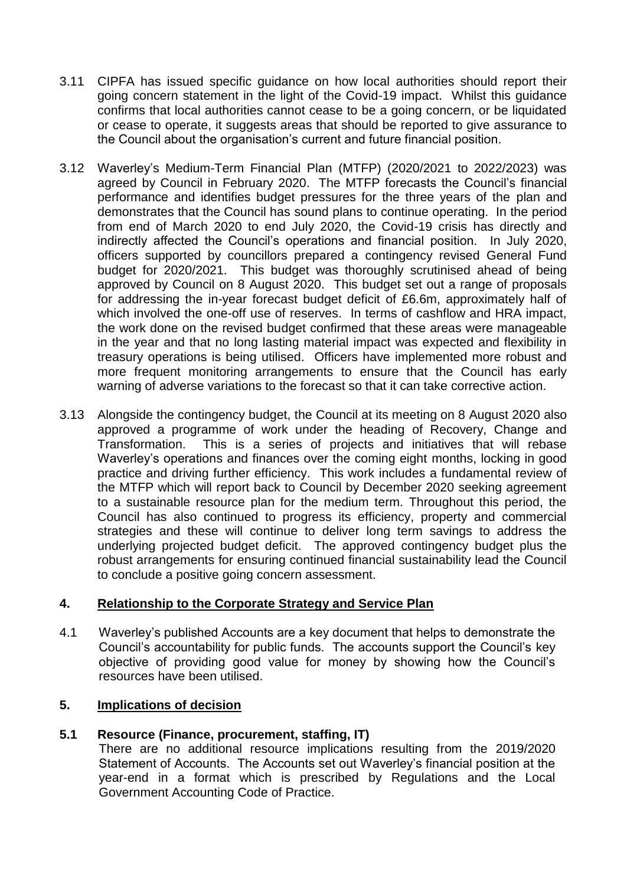- 3.11 CIPFA has issued specific guidance on how local authorities should report their going concern statement in the light of the Covid-19 impact. Whilst this guidance confirms that local authorities cannot cease to be a going concern, or be liquidated or cease to operate, it suggests areas that should be reported to give assurance to the Council about the organisation's current and future financial position.
- 3.12 Waverley's Medium-Term Financial Plan (MTFP) (2020/2021 to 2022/2023) was agreed by Council in February 2020. The MTFP forecasts the Council's financial performance and identifies budget pressures for the three years of the plan and demonstrates that the Council has sound plans to continue operating. In the period from end of March 2020 to end July 2020, the Covid-19 crisis has directly and indirectly affected the Council's operations and financial position. In July 2020, officers supported by councillors prepared a contingency revised General Fund budget for 2020/2021. This budget was thoroughly scrutinised ahead of being approved by Council on 8 August 2020. This budget set out a range of proposals for addressing the in-year forecast budget deficit of £6.6m, approximately half of which involved the one-off use of reserves. In terms of cashflow and HRA impact, the work done on the revised budget confirmed that these areas were manageable in the year and that no long lasting material impact was expected and flexibility in treasury operations is being utilised. Officers have implemented more robust and more frequent monitoring arrangements to ensure that the Council has early warning of adverse variations to the forecast so that it can take corrective action.
- 3.13 Alongside the contingency budget, the Council at its meeting on 8 August 2020 also approved a programme of work under the heading of Recovery, Change and Transformation. This is a series of projects and initiatives that will rebase Waverley's operations and finances over the coming eight months, locking in good practice and driving further efficiency. This work includes a fundamental review of the MTFP which will report back to Council by December 2020 seeking agreement to a sustainable resource plan for the medium term. Throughout this period, the Council has also continued to progress its efficiency, property and commercial strategies and these will continue to deliver long term savings to address the underlying projected budget deficit. The approved contingency budget plus the robust arrangements for ensuring continued financial sustainability lead the Council to conclude a positive going concern assessment.

# **4. Relationship to the Corporate Strategy and Service Plan**

4.1 Waverley's published Accounts are a key document that helps to demonstrate the Council's accountability for public funds. The accounts support the Council's key objective of providing good value for money by showing how the Council's resources have been utilised.

## **5. Implications of decision**

## **5.1 Resource (Finance, procurement, staffing, IT)**

There are no additional resource implications resulting from the 2019/2020 Statement of Accounts. The Accounts set out Waverley's financial position at the year-end in a format which is prescribed by Regulations and the Local Government Accounting Code of Practice.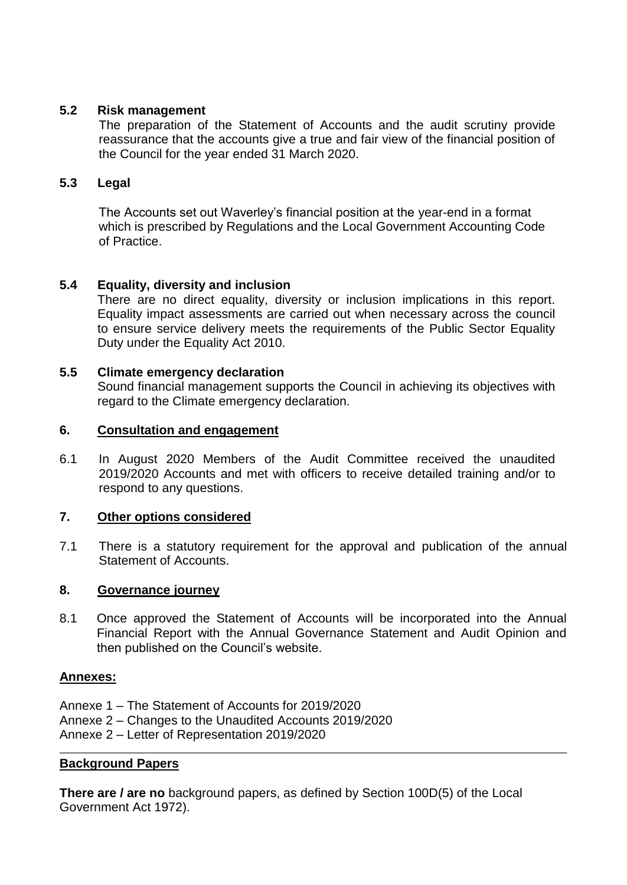# **5.2 Risk management**

The preparation of the Statement of Accounts and the audit scrutiny provide reassurance that the accounts give a true and fair view of the financial position of the Council for the year ended 31 March 2020.

## **5.3 Legal**

The Accounts set out Waverley's financial position at the year-end in a format which is prescribed by Regulations and the Local Government Accounting Code of Practice.

## **5.4 Equality, diversity and inclusion**

There are no direct equality, diversity or inclusion implications in this report. Equality impact assessments are carried out when necessary across the council to ensure service delivery meets the requirements of the Public Sector Equality Duty under the Equality Act 2010.

## **5.5 Climate emergency declaration**

Sound financial management supports the Council in achieving its objectives with regard to the Climate emergency declaration.

#### **6. Consultation and engagement**

6.1 In August 2020 Members of the Audit Committee received the unaudited 2019/2020 Accounts and met with officers to receive detailed training and/or to respond to any questions.

## **7. Other options considered**

7.1 There is a statutory requirement for the approval and publication of the annual Statement of Accounts.

#### **8. Governance journey**

8.1 Once approved the Statement of Accounts will be incorporated into the Annual Financial Report with the Annual Governance Statement and Audit Opinion and then published on the Council's website.

## **Annexes:**

- Annexe 1 The Statement of Accounts for 2019/2020
- Annexe 2 Changes to the Unaudited Accounts 2019/2020
- Annexe 2 Letter of Representation 2019/2020

## **Background Papers**

**There are / are no** background papers, as defined by Section 100D(5) of the Local Government Act 1972).